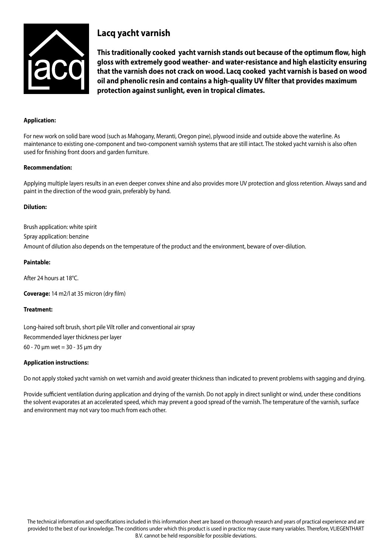

# **Lacq yacht varnish**

**This traditionally cooked yacht varnish stands out because of the optimum flow, high gloss with extremely good weather- and water-resistance and high elasticity ensuring that the varnish does not crack on wood. Lacq cooked yacht varnish is based on wood oil and phenolic resin and contains a high-quality UV filter that provides maximum protection against sunlight, even in tropical climates.**

## **Application:**

For new work on solid bare wood (such as Mahogany, Meranti, Oregon pine), plywood inside and outside above the waterline. As maintenance to existing one-component and two-component varnish systems that are still intact. The stoked yacht varnish is also often used for finishing front doors and garden furniture.

## **Recommendation:**

Applying multiple layers results in an even deeper convex shine and also provides more UV protection and gloss retention. Always sand and paint in the direction of the wood grain, preferably by hand.

## **Dilution:**

Brush application: white spirit

Spray application: benzine

Amount of dilution also depends on the temperature of the product and the environment, beware of over-dilution.

## **Paintable:**

After 24 hours at 18°C.

**Coverage:** 14 m2/l at 35 micron (dry film)

## **Treatment:**

Long-haired soft brush, short pile Vilt roller and conventional air spray Recommended layer thickness per layer 60 - 70 μm wet = 30 - 35 μm dry

## **Application instructions:**

Do not apply stoked yacht varnish on wet varnish and avoid greater thickness than indicated to prevent problems with sagging and drying.

Provide sufficient ventilation during application and drying of the varnish. Do not apply in direct sunlight or wind, under these conditions the solvent evaporates at an accelerated speed, which may prevent a good spread of the varnish. The temperature of the varnish, surface and environment may not vary too much from each other.